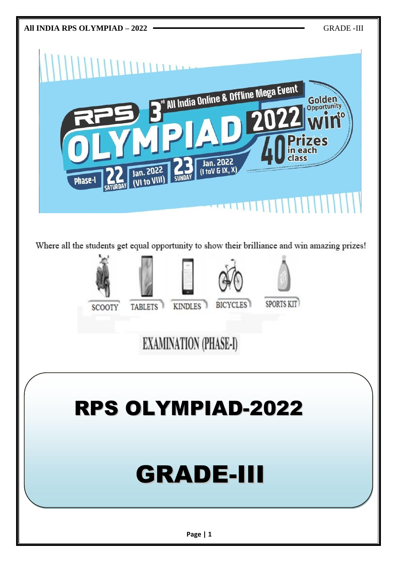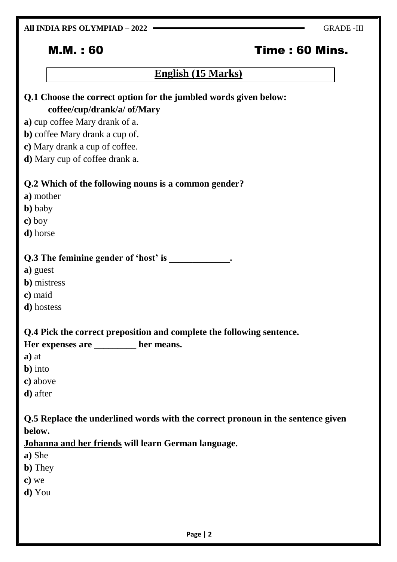#### **All INDIA RPS OLYMPIAD – 2022** GRADE -III

# M.M. : 60 Time : 60 Mins.

# **English (15 Marks)**

| Q.1 Choose the correct option for the jumbled words given below: |  |  |
|------------------------------------------------------------------|--|--|
| coffee/cup/drank/a/ of/Mary                                      |  |  |
| a) cup coffee Mary drank of a.                                   |  |  |
| b) coffee Mary drank a cup of.                                   |  |  |
| c) Mary drank a cup of coffee.                                   |  |  |
| <b>d</b> ) Mary cup of coffee drank a.                           |  |  |
|                                                                  |  |  |
| Q.2 Which of the following nouns is a common gender?             |  |  |
| a) mother                                                        |  |  |
| <b>b</b> ) baby                                                  |  |  |
| c) boy                                                           |  |  |
| <b>d</b> ) horse                                                 |  |  |
|                                                                  |  |  |
| Q.3 The feminine gender of 'host' is                             |  |  |

**a)** guest

- **b)** mistress
- **c)** maid
- **d)** hostess

**Q.4 Pick the correct preposition and complete the following sentence.**

**Her expenses are \_\_\_\_\_\_\_\_\_ her means.**

- **a)** at
- **b)** into
- **c)** above
- **d)** after

**Q.5 Replace the underlined words with the correct pronoun in the sentence given below.**

#### **Johanna and her friends will learn German language.**

- **a)** She
- **b)** They
- **c)** we
- **d)** You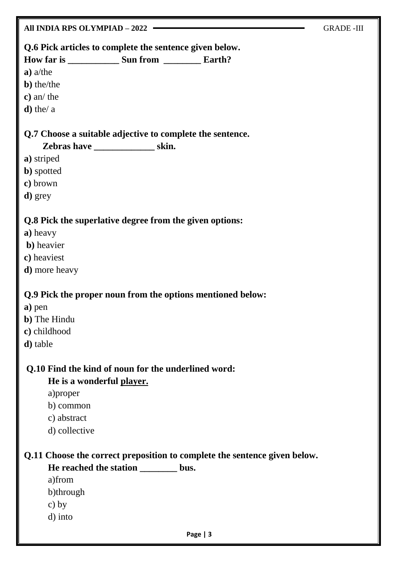| All INDIA RPS OLYMPIAD - 2022                                             | <b>GRADE-III</b> |
|---------------------------------------------------------------------------|------------------|
| Q.6 Pick articles to complete the sentence given below.                   |                  |
|                                                                           |                  |
| $a)$ a/the                                                                |                  |
| <b>b</b> ) the/the                                                        |                  |
| $c)$ an/ the                                                              |                  |
| $\mathbf d$ ) the/ a                                                      |                  |
| Q.7 Choose a suitable adjective to complete the sentence.                 |                  |
| Zebras have ______________________skin.                                   |                  |
| a) striped                                                                |                  |
| <b>b</b> ) spotted                                                        |                  |
| c) brown                                                                  |                  |
| d) grey                                                                   |                  |
| Q.8 Pick the superlative degree from the given options:                   |                  |
| a) heavy                                                                  |                  |
| <b>b</b> ) heavier                                                        |                  |
| c) heaviest                                                               |                  |
| <b>d</b> ) more heavy                                                     |                  |
| Q.9 Pick the proper noun from the options mentioned below:                |                  |
| a) pen                                                                    |                  |
| <b>b</b> ) The Hindu                                                      |                  |
| c) childhood                                                              |                  |
| <b>d</b> ) table                                                          |                  |
|                                                                           |                  |
| Q.10 Find the kind of noun for the underlined word:                       |                  |
| He is a wonderful player.                                                 |                  |
| a) proper                                                                 |                  |
| b) common                                                                 |                  |
| c) abstract                                                               |                  |
| d) collective                                                             |                  |
| Q.11 Choose the correct preposition to complete the sentence given below. |                  |
| He reached the station _________ bus.                                     |                  |
| a)from                                                                    |                  |
| b)through                                                                 |                  |
| c) by                                                                     |                  |
| d) into                                                                   |                  |
|                                                                           |                  |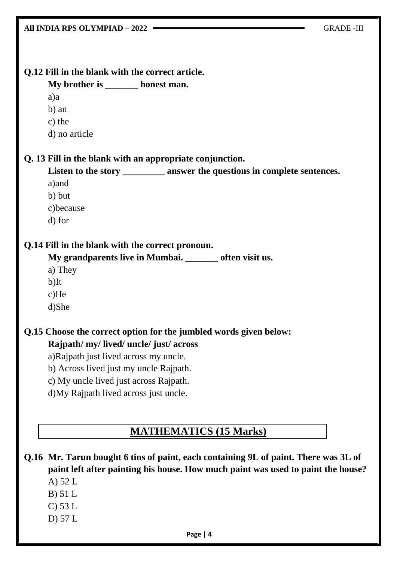| All INDIA RPS OLYMPIAD - 2022<br><b>GRADE-III</b>                                   |  |
|-------------------------------------------------------------------------------------|--|
|                                                                                     |  |
|                                                                                     |  |
| Q.12 Fill in the blank with the correct article.                                    |  |
| My brother is _______ honest man.                                                   |  |
| a)a                                                                                 |  |
| b) an                                                                               |  |
| c) the                                                                              |  |
| d) no article                                                                       |  |
| Q. 13 Fill in the blank with an appropriate conjunction.                            |  |
| Listen to the story ___________ answer the questions in complete sentences.         |  |
| a) and                                                                              |  |
| b) but                                                                              |  |
| c)because                                                                           |  |
| d) for                                                                              |  |
| Q.14 Fill in the blank with the correct pronoun.                                    |  |
| My grandparents live in Mumbai. ______ often visit us.                              |  |
| a) They                                                                             |  |
| $b)$ It                                                                             |  |
| $c)$ He                                                                             |  |
| d)She                                                                               |  |
| Q.15 Choose the correct option for the jumbled words given below:                   |  |
| Rajpath/ my/ lived/ uncle/ just/ across                                             |  |
| a)Rajpath just lived across my uncle.                                               |  |
| b) Across lived just my uncle Rajpath.                                              |  |
| c) My uncle lived just across Rajpath.                                              |  |
| d)My Rajpath lived across just uncle.                                               |  |
|                                                                                     |  |
|                                                                                     |  |
| <b>MATHEMATICS (15 Marks)</b>                                                       |  |
| Q.16 Mr. Tarun bought 6 tins of paint, each containing 9L of paint. There was 3L of |  |
| paint left after painting his house. How much paint was used to paint the house?    |  |
| A) $52 L$                                                                           |  |
| $B)$ 51 L                                                                           |  |
| $C$ ) 53 L                                                                          |  |
| D $\overline{)57L}$                                                                 |  |
| Page   4                                                                            |  |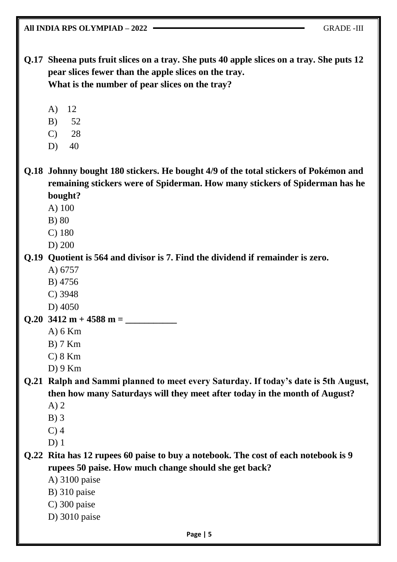**All INDIA RPS OLYMPIAD – 2022 —** GRADE -III

**Q.17 Sheena puts fruit slices on a tray. She puts 40 apple slices on a tray. She puts 12 pear slices fewer than the apple slices on the tray. What is the number of pear slices on the tray?**

- A) 12
- B) 52
- C) 28
- D) 40

**Q.18 Johnny bought 180 stickers. He bought 4/9 of the total stickers of Pokémon and remaining stickers were of Spiderman. How many stickers of Spiderman has he bought?**

- A) 100
- B) 80
- C) 180
- D) 200

#### **Q.19 Quotient is 564 and divisor is 7. Find the dividend if remainder is zero.**

- A) 6757
- B) 4756
- C) 3948
- D) 4050
- **Q.20**  $3412 \text{ m} + 4588 \text{ m} =$ 
	- A) 6 Km
	- B) 7 Km
	- $C$ ) 8 Km
	- D) 9 Km

**Q.21 Ralph and Sammi planned to meet every Saturday. If today's date is 5th August, then how many Saturdays will they meet after today in the month of August?**

- A) 2
- B) 3
- C) 4
- D) 1

**Q.22 Rita has 12 rupees 60 paise to buy a notebook. The cost of each notebook is 9 rupees 50 paise. How much change should she get back?**

- A) 3100 paise
- B) 310 paise
- C) 300 paise
- D) 3010 paise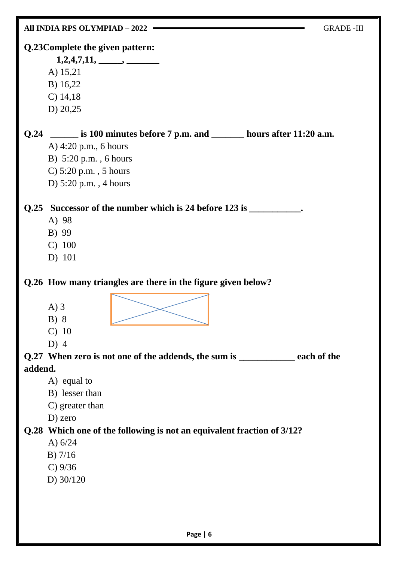|         | All INDIA RPS OLYMPIAD - 2022                                                                                                                                                                                                                     | <b>GRADE-III</b> |
|---------|---------------------------------------------------------------------------------------------------------------------------------------------------------------------------------------------------------------------------------------------------|------------------|
|         | Q.23Complete the given pattern:<br>$1,2,4,7,11, \_\_\_\_\_$<br>A) 15,21<br>B) 16,22<br>$C)$ 14,18<br>D) $20,25$                                                                                                                                   |                  |
|         | Q.24 _______ is 100 minutes before 7 p.m. and _________ hours after 11:20 a.m.<br>A) $4:20$ p.m., 6 hours<br>B) 5:20 p.m., 6 hours<br>C) $5:20$ p.m., $5$ hours<br>D) $5:20$ p.m., 4 hours                                                        |                  |
|         | Q.25 Successor of the number which is 24 before 123 is ___________.<br>A) 98<br>B) 99<br>C) 100<br>D) 101                                                                                                                                         |                  |
| addend. | Q.26 How many triangles are there in the figure given below?<br>$A)$ 3<br>B) 8<br>$C)$ 10<br>D) $4$<br>Q.27 When zero is not one of the addends, the sum is __________ each of the<br>A) equal to<br>B) lesser than<br>C) greater than<br>D) zero |                  |
|         | Q.28 Which one of the following is not an equivalent fraction of 3/12?<br>A) $6/24$<br>$B)$ 7/16<br>C) 9/36<br>D) $30/120$                                                                                                                        |                  |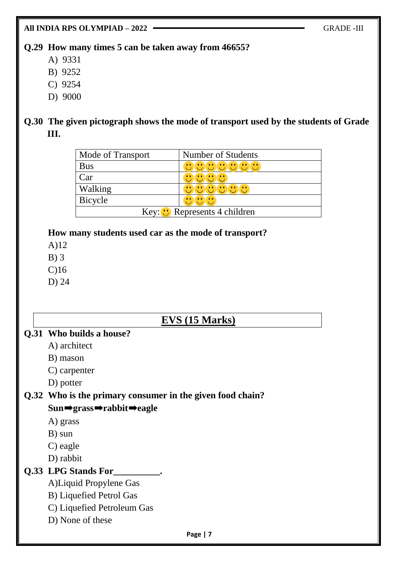**All INDIA RPS OLYMPIAD – 2022** GRADE -III

#### **Q.29 How many times 5 can be taken away from 46655?**

- A) 9331
- B) 9252
- C) 9254
- D) 9000

#### **Q.30 The given pictograph shows the mode of transport used by the students of Grade III.**

| Mode of Transport                    | Number of Students |  |
|--------------------------------------|--------------------|--|
| <b>Bus</b>                           | <u>ananananana</u> |  |
| Car                                  | an dan da<br>×.    |  |
| Walking                              | じけいじけい             |  |
| <b>Bicycle</b>                       |                    |  |
| Key: $\bullet$ Represents 4 children |                    |  |

#### **How many students used car as the mode of transport?**

- A)12
- B) 3
- C)16
- D) 24

# **EVS (15 Marks)**

#### **Q.31 Who builds a house?**

- A) architect
- B) mason
- C) carpenter
- D) potter

# **Q.32 Who is the primary consumer in the given food chain?**

#### **Sun**➡**grass**➡**rabbit**➡**eagle**

- A) grass
- B) sun
- C) eagle
- D) rabbit

### **Q.33 LPG Stands For\_\_\_\_\_\_\_\_\_\_.**

- A)Liquid Propylene Gas
- B) Liquefied Petrol Gas
- C) Liquefied Petroleum Gas
- D) None of these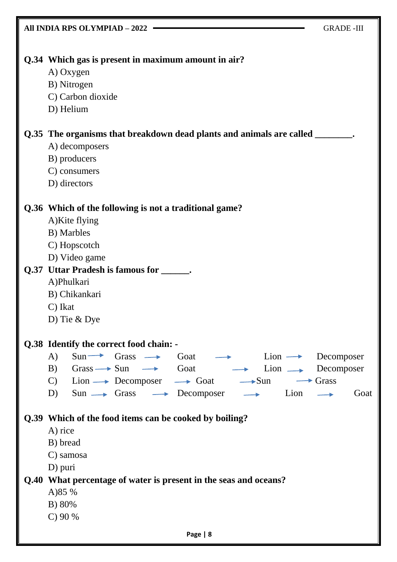| All INDIA RPS OLYMPIAD - 2022                                                                                      | <b>GRADE-III</b>        |  |
|--------------------------------------------------------------------------------------------------------------------|-------------------------|--|
|                                                                                                                    |                         |  |
| Q.34 Which gas is present in maximum amount in air?                                                                |                         |  |
| A) Oxygen                                                                                                          |                         |  |
| B) Nitrogen                                                                                                        |                         |  |
| C) Carbon dioxide                                                                                                  |                         |  |
| D) Helium                                                                                                          |                         |  |
| Q.35 The organisms that breakdown dead plants and animals are called ________.                                     |                         |  |
| A) decomposers                                                                                                     |                         |  |
| B) producers                                                                                                       |                         |  |
| C) consumers                                                                                                       |                         |  |
| D) directors                                                                                                       |                         |  |
| Q.36 Which of the following is not a traditional game?                                                             |                         |  |
| A)Kite flying                                                                                                      |                         |  |
| B) Marbles                                                                                                         |                         |  |
| C) Hopscotch                                                                                                       |                         |  |
| D) Video game                                                                                                      |                         |  |
| Q.37 Uttar Pradesh is famous for _______.                                                                          |                         |  |
| A)Phulkari                                                                                                         |                         |  |
| B) Chikankari                                                                                                      |                         |  |
| C) Ikat                                                                                                            |                         |  |
| D) Tie & Dye                                                                                                       |                         |  |
| Q.38 Identify the correct food chain: -                                                                            |                         |  |
| $\bf{A}$<br>$Sun \longrightarrow$ Grass $\longrightarrow$ Goat $\longrightarrow$ Lion $\longrightarrow$ Decomposer |                         |  |
| B) Grass $\rightarrow$ Sun $\rightarrow$ Goat $\rightarrow$ Lion $\rightarrow$ Decomposer                          |                         |  |
| C) Lion $\longrightarrow$ Decomposer $\longrightarrow$ Goat $\longrightarrow$ Sun                                  | $\longrightarrow$ Grass |  |
| $Sun \longrightarrow Grass \longrightarrow Desomposer \longrightarrow Lion$<br>D)                                  | $\rightarrow$<br>Goat   |  |
| Q.39 Which of the food items can be cooked by boiling?                                                             |                         |  |
| A) rice                                                                                                            |                         |  |
| B) bread                                                                                                           |                         |  |
| C) samosa                                                                                                          |                         |  |
| D) puri                                                                                                            |                         |  |
| Q.40 What percentage of water is present in the seas and oceans?                                                   |                         |  |
| A) 85 %                                                                                                            |                         |  |
| B) 80%                                                                                                             |                         |  |
| $C$ ) 90 %                                                                                                         |                         |  |
| Page   8                                                                                                           |                         |  |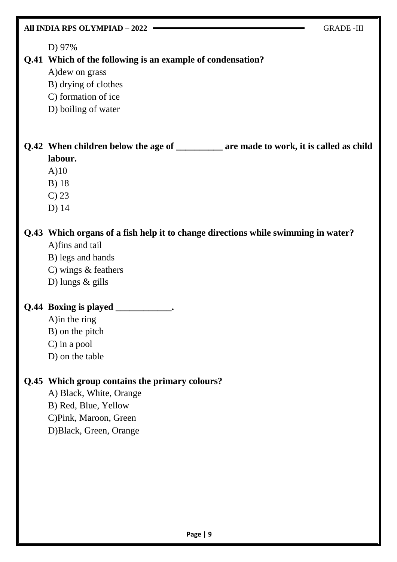| All INDIA RPS OLYMPIAD - 2022                                                                                                                                            | <b>GRADE-III</b> |
|--------------------------------------------------------------------------------------------------------------------------------------------------------------------------|------------------|
| D) 97%<br>Q.41 Which of the following is an example of condensation?<br>A) dew on grass<br>B) drying of clothes<br>C) formation of ice<br>D) boiling of water            |                  |
| Q.42 When children below the age of ________ are made to work, it is called as child<br>labour.<br>A)10<br><b>B</b> ) 18<br>$C$ ) 23<br>D) 14                            |                  |
| Q.43 Which organs of a fish help it to change directions while swimming in water?<br>A)fins and tail<br>B) legs and hands<br>C) wings $&$ feathers<br>D) lungs $&$ gills |                  |
| Q.44 Boxing is played<br>A) in the ring<br>B) on the pitch<br>$C$ ) in a pool<br>D) on the table                                                                         |                  |
| Q.45 Which group contains the primary colours?<br>A) Black, White, Orange<br>B) Red, Blue, Yellow<br>C)Pink, Maroon, Green<br>D)Black, Green, Orange                     |                  |

T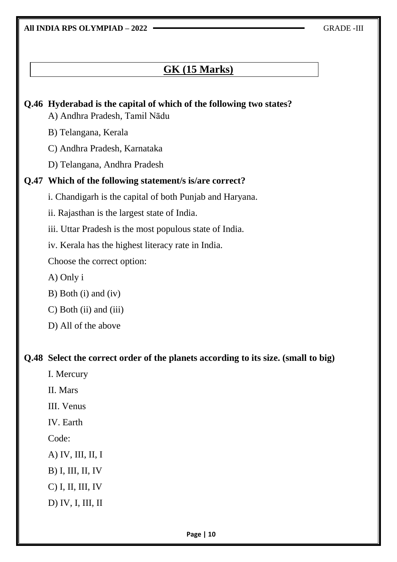**All INDIA RPS OLYMPIAD – 2022** GRADE -III

# **GK (15 Marks)**

# **Q.46 Hyderabad is the capital of which of the following two states?** A) Andhra Pradesh, Tamil Nādu B) Telangana, Kerala C) Andhra Pradesh, Karnataka D) Telangana, Andhra Pradesh **Q.47 Which of the following statement/s is/are correct?** i. Chandigarh is the capital of both Punjab and Haryana. ii. Rajasthan is the largest state of India. iii. Uttar Pradesh is the most populous state of India. iv. Kerala has the highest literacy rate in India. Choose the correct option: A) Only i B) Both (i) and (iv) C) Both (ii) and (iii) D) All of the above **Q.48 Select the correct order of the planets according to its size. (small to big)** I. Mercury II. Mars III. Venus IV. Earth Code: A) IV, III, II, I B) I, III, II, IV C) I, II, III, IV D) IV, I, III, II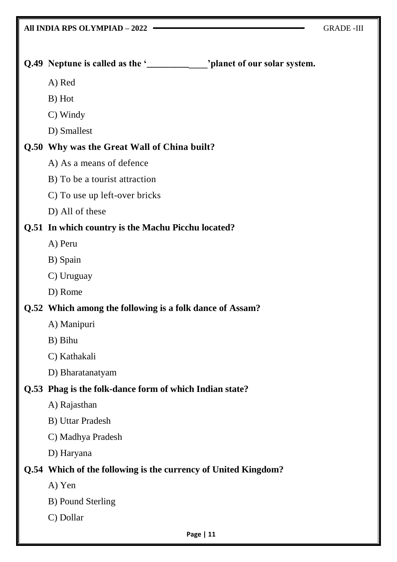| Q.49 Neptune is called as the '_____________ 'planet of our solar system. |
|---------------------------------------------------------------------------|
| A) Red                                                                    |
| B) Hot                                                                    |
| C) Windy                                                                  |
| D) Smallest                                                               |
| Q.50 Why was the Great Wall of China built?                               |
| A) As a means of defence                                                  |
| B) To be a tourist attraction                                             |
| C) To use up left-over bricks                                             |
| D) All of these                                                           |
| Q.51 In which country is the Machu Picchu located?                        |
| A) Peru                                                                   |
| B) Spain                                                                  |
| C) Uruguay                                                                |
| D) Rome                                                                   |
| Q.52 Which among the following is a folk dance of Assam?                  |
| A) Manipuri                                                               |
| B) Bihu                                                                   |
| C) Kathakali                                                              |
| D) Bharatanatyam                                                          |
| Q.53 Phag is the folk-dance form of which Indian state?                   |
| A) Rajasthan                                                              |
| <b>B</b> ) Uttar Pradesh                                                  |
| C) Madhya Pradesh                                                         |
| D) Haryana                                                                |
| Q.54 Which of the following is the currency of United Kingdom?            |
| A) Yen                                                                    |
| B) Pound Sterling                                                         |
| C) Dollar                                                                 |
| Page   11                                                                 |
|                                                                           |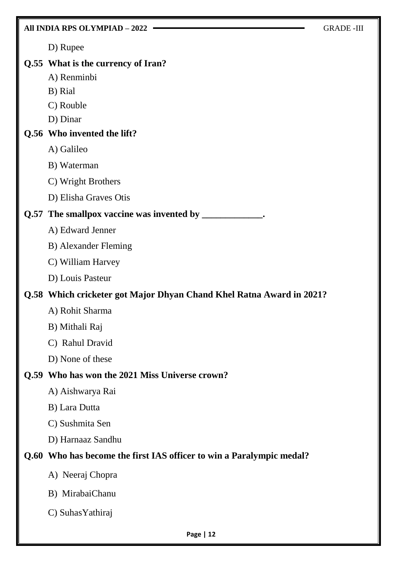|      | All INDIA RPS OLYMPIAD - 2022                                        | <b>GRADE-III</b> |
|------|----------------------------------------------------------------------|------------------|
|      | D) Rupee                                                             |                  |
|      | Q.55 What is the currency of Iran?                                   |                  |
|      | A) Renminbi                                                          |                  |
|      | B) Rial                                                              |                  |
|      | C) Rouble                                                            |                  |
|      | D) Dinar                                                             |                  |
|      | Q.56 Who invented the lift?                                          |                  |
|      | A) Galileo                                                           |                  |
|      | B) Waterman                                                          |                  |
|      | C) Wright Brothers                                                   |                  |
|      | D) Elisha Graves Otis                                                |                  |
|      | Q.57 The smallpox vaccine was invented by _____________.             |                  |
|      | A) Edward Jenner                                                     |                  |
|      | B) Alexander Fleming                                                 |                  |
|      | C) William Harvey                                                    |                  |
|      | D) Louis Pasteur                                                     |                  |
|      | Q.58 Which cricketer got Major Dhyan Chand Khel Ratna Award in 2021? |                  |
|      | A) Rohit Sharma                                                      |                  |
|      | B) Mithali Raj                                                       |                  |
|      | C) Rahul Dravid                                                      |                  |
|      | D) None of these                                                     |                  |
| Q.59 | Who has won the 2021 Miss Universe crown?                            |                  |
|      | A) Aishwarya Rai                                                     |                  |
|      | B) Lara Dutta                                                        |                  |
|      | C) Sushmita Sen                                                      |                  |
|      | D) Harnaaz Sandhu                                                    |                  |
|      | Q.60 Who has become the first IAS officer to win a Paralympic medal? |                  |
|      | A) Neeraj Chopra                                                     |                  |
|      | B) MirabaiChanu                                                      |                  |
|      | C) Suhas Yathiraj                                                    |                  |
|      | Page   12                                                            |                  |

F